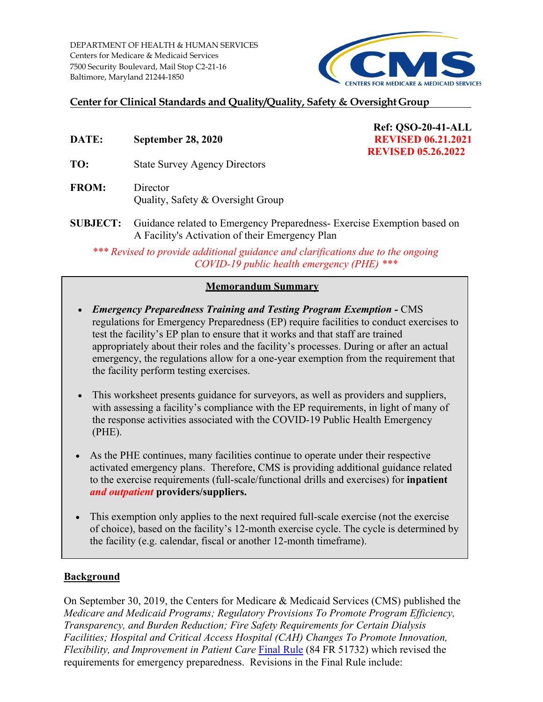7500 Security Boulevard, Mail Stop C2-21-16 DEPARTMENT OF HEALTH & HUMAN SERVICES Centers for Medicare & Medicaid Services Baltimore, Maryland 21244-1850



# **Center for Clinical Standards and Quality/Quality, Safety & Oversight Group**

**DATE:** September 28, 2020 **REVISED 06.21.2021** 

**TO:** State Survey Agency Directors

**FROM:** Director Quality, Safety & Oversight Group

- **Ref: QSO-20-41-ALL REVISED 05.26.2022**
- **SUBJECT:** Guidance related to Emergency Preparedness- Exercise Exemption based on A Facility's Activation of their Emergency Plan

*\*\*\* Revised to provide additional guidance and clarifications due to the ongoing COVID-19 public health emergency (PHE) \*\*\** 

### **Memorandum Summary**

- regulations for Emergency Preparedness (EP) require facilities to conduct exercises to appropriately about their roles and the facility's processes. During or after an actual • *Emergency Preparedness Training and Testing Program Exemption -* CMS test the facility's EP plan to ensure that it works and that staff are trained emergency, the regulations allow for a one-year exemption from the requirement that the facility perform testing exercises.
- with assessing a facility's compliance with the EP requirements, in light of many of • This worksheet presents guidance for surveyors, as well as providers and suppliers, the response activities associated with the COVID-19 Public Health Emergency (PHE).
- As the PHE continues, many facilities continue to operate under their respective activated emergency plans. Therefore, CMS is providing additional guidance related to the exercise requirements (full-scale/functional drills and exercises) for **inpatient**  *and outpatient* **providers/suppliers.**
- the facility (e.g. calendar, fiscal or another 12-month timeframe). • This exemption only applies to the next required full-scale exercise (not the exercise of choice), based on the facility's 12-month exercise cycle. The cycle is determined by

### **Background**

On September 30, 2019, the Centers for Medicare & Medicaid Services (CMS) published the *Medicare and Medicaid Programs; Regulatory Provisions To Promote Program Efficiency, Transparency, and Burden Reduction; Fire Safety Requirements for Certain Dialysis Facilities; Hospital and Critical Access Hospital (CAH) Changes To Promote Innovation, Flexibility, and Improvement in Patient Care Final Rule (84 FR 51732)* which revised the requirements for emergency preparedness. Revisions in the Final Rule include: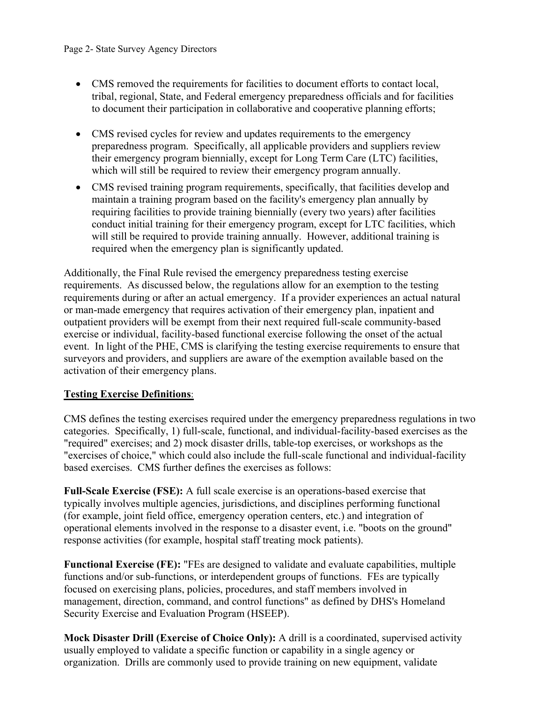- CMS removed the requirements for facilities to document efforts to contact local, tribal, regional, State, and Federal emergency preparedness officials and for facilities to document their participation in collaborative and cooperative planning efforts;
- • CMS revised cycles for review and updates requirements to the emergency which will still be required to review their emergency program annually. preparedness program. Specifically, all applicable providers and suppliers review their emergency program biennially, except for Long Term Care (LTC) facilities,
- requiring facilities to provide training biennially (every two years) after facilities • CMS revised training program requirements, specifically, that facilities develop and maintain a training program based on the facility's emergency plan annually by conduct initial training for their emergency program, except for LTC facilities, which will still be required to provide training annually. However, additional training is required when the emergency plan is significantly updated.

Additionally, the Final Rule revised the emergency preparedness testing exercise requirements. As discussed below, the regulations allow for an exemption to the testing requirements during or after an actual emergency. If a provider experiences an actual natural or man-made emergency that requires activation of their emergency plan, inpatient and outpatient providers will be exempt from their next required full-scale community-based exercise or individual, facility-based functional exercise following the onset of the actual event. In light of the PHE, CMS is clarifying the testing exercise requirements to ensure that surveyors and providers, and suppliers are aware of the exemption available based on the activation of their emergency plans.

# **Testing Exercise Definitions**:

 "required" exercises; and 2) mock disaster drills, table-top exercises, or workshops as the based exercises. CMS further defines the exercises as follows: CMS defines the testing exercises required under the emergency preparedness regulations in two categories. Specifically, 1) full-scale, functional, and individual-facility-based exercises as the "exercises of choice," which could also include the full-scale functional and individual-facility

**Full-Scale Exercise (FSE):** A full scale exercise is an operations-based exercise that typically involves multiple agencies, jurisdictions, and disciplines performing functional (for example, joint field office, emergency operation centers, etc.) and integration of operational elements involved in the response to a disaster event, i.e. "boots on the ground" response activities (for example, hospital staff treating mock patients).

 **Functional Exercise (FE):** "FEs are designed to validate and evaluate capabilities, multiple functions and/or sub-functions, or interdependent groups of functions. FEs are typically focused on exercising plans, policies, procedures, and staff members involved in management, direction, command, and control functions" as defined by DHS's Homeland Security Exercise and Evaluation Program (HSEEP).

 organization. Drills are commonly used to provide training on new equipment, validate **Mock Disaster Drill (Exercise of Choice Only):** A drill is a coordinated, supervised activity usually employed to validate a specific function or capability in a single agency or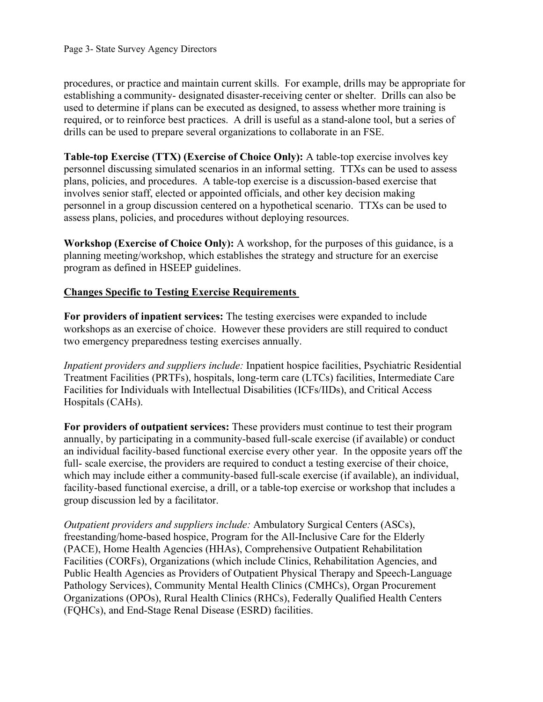establishing a community- designated disaster-receiving center or shelter. Drills can also be required, or to reinforce best practices. A drill is useful as a stand-alone tool, but a series of drills can be used to prepare several organizations to collaborate in an FSE. procedures, or practice and maintain current skills. For example, drills may be appropriate for used to determine if plans can be executed as designed, to assess whether more training is

 personnel discussing simulated scenarios in an informal setting. TTXs can be used to assess **Table-top Exercise (TTX) (Exercise of Choice Only):** A table-top exercise involves key plans, policies, and procedures. A table-top exercise is a discussion-based exercise that involves senior staff, elected or appointed officials, and other key decision making personnel in a group discussion centered on a hypothetical scenario. TTXs can be used to assess plans, policies, and procedures without deploying resources.

**Workshop (Exercise of Choice Only):** A workshop, for the purposes of this guidance, is a planning meeting/workshop, which establishes the strategy and structure for an exercise program as defined in HSEEP guidelines.

# **Changes Specific to Testing Exercise Requirements**

 workshops as an exercise of choice. However these providers are still required to conduct **For providers of inpatient services:** The testing exercises were expanded to include two emergency preparedness testing exercises annually.

*Inpatient providers and suppliers include:* Inpatient hospice facilities, Psychiatric Residential Treatment Facilities (PRTFs), hospitals, long-term care (LTCs) facilities, Intermediate Care Facilities for Individuals with Intellectual Disabilities (ICFs/IIDs), and Critical Access Hospitals (CAHs).

 an individual facility-based functional exercise every other year. In the opposite years off the which may include either a community-based full-scale exercise (if available), an individual, facility-based functional exercise, a drill, or a table-top exercise or workshop that includes a **For providers of outpatient services:** These providers must continue to test their program annually, by participating in a community-based full-scale exercise (if available) or conduct full- scale exercise, the providers are required to conduct a testing exercise of their choice, group discussion led by a facilitator.

 *Outpatient providers and suppliers include:* Ambulatory Surgical Centers (ASCs), Pathology Services), Community Mental Health Clinics (CMHCs), Organ Procurement freestanding/home-based hospice, Program for the All-Inclusive Care for the Elderly (PACE), Home Health Agencies (HHAs), Comprehensive Outpatient Rehabilitation Facilities (CORFs), Organizations (which include Clinics, Rehabilitation Agencies, and Public Health Agencies as Providers of Outpatient Physical Therapy and Speech-Language Organizations (OPOs), Rural Health Clinics (RHCs), Federally Qualified Health Centers (FQHCs), and End-Stage Renal Disease (ESRD) facilities.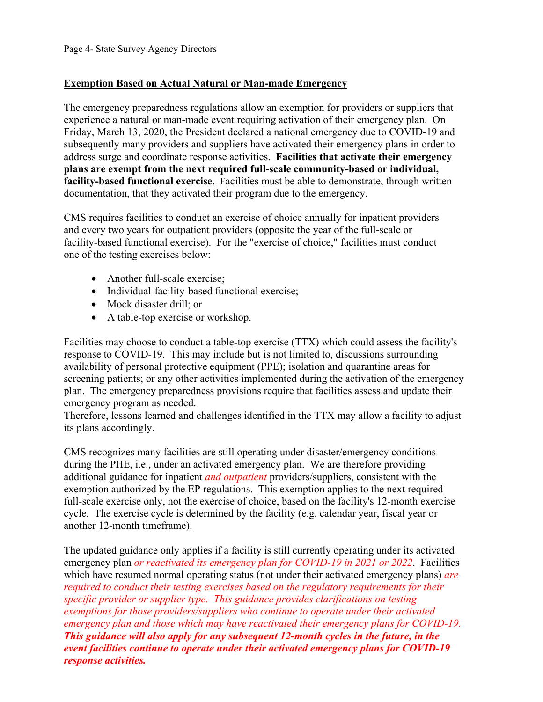## **Exemption Based on Actual Natural or Man-made Emergency**

 address surge and coordinate response activities. **Facilities that activate their emergency plans are exempt from the next required full-scale community-based or individual, facility-based functional exercise.** Facilities must be able to demonstrate, through written The emergency preparedness regulations allow an exemption for providers or suppliers that experience a natural or man-made event requiring activation of their emergency plan. On Friday, March 13, 2020, the President declared a national emergency due to COVID-19 and subsequently many providers and suppliers have activated their emergency plans in order to documentation, that they activated their program due to the emergency.

 facility-based functional exercise). For the "exercise of choice," facilities must conduct CMS requires facilities to conduct an exercise of choice annually for inpatient providers and every two years for outpatient providers (opposite the year of the full-scale or one of the testing exercises below:

- Another full-scale exercise;
- Individual-facility-based functional exercise;
- Mock disaster drill; or
- A table-top exercise or workshop.

 response to COVID-19. This may include but is not limited to, discussions surrounding availability of personal protective equipment (PPE); isolation and quarantine areas for Facilities may choose to conduct a table-top exercise (TTX) which could assess the facility's screening patients; or any other activities implemented during the activation of the emergency plan. The emergency preparedness provisions require that facilities assess and update their emergency program as needed.

 Therefore, lessons learned and challenges identified in the TTX may allow a facility to adjust its plans accordingly.

 cycle. The exercise cycle is determined by the facility (e.g. calendar year, fiscal year or CMS recognizes many facilities are still operating under disaster/emergency conditions during the PHE, i.e., under an activated emergency plan. We are therefore providing additional guidance for inpatient *and outpatient* providers/suppliers, consistent with the exemption authorized by the EP regulations. This exemption applies to the next required full-scale exercise only, not the exercise of choice, based on the facility's 12-month exercise another 12-month timeframe).

 The updated guidance only applies if a facility is still currently operating under its activated emergency plan *or reactivated its emergency plan for COVID-19 in 2021 or 2022*. Facilities which have resumed normal operating status (not under their activated emergency plans) *are required to conduct their testing exercises based on the regulatory requirements for their specific provider or supplier type. This guidance provides clarifications on testing exemptions for those providers/suppliers who continue to operate under their activated emergency plan and those which may have reactivated their emergency plans for COVID-19. This guidance will also apply for any subsequent 12-month cycles in the future, in the event facilities continue to operate under their activated emergency plans for COVID-19 response activities.*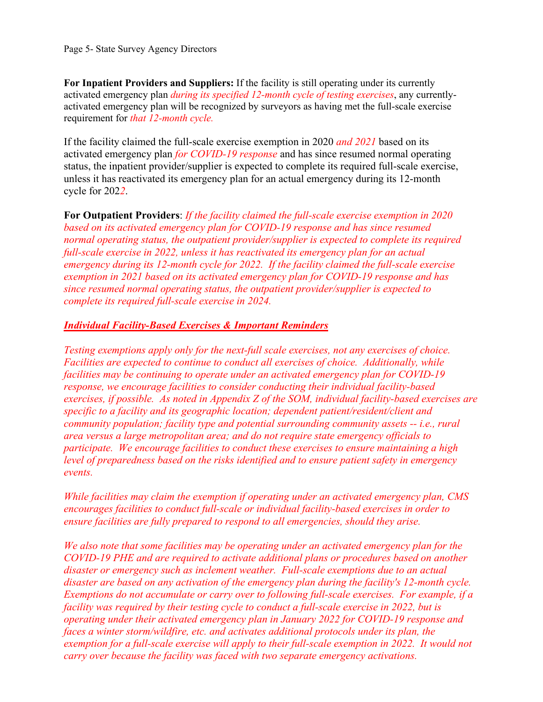**For Inpatient Providers and Suppliers:** If the facility is still operating under its currently activated emergency plan *during its specified 12-month cycle of testing exercises*, any currentlyactivated emergency plan will be recognized by surveyors as having met the full-scale exercise requirement for *that 12-month cycle.* 

 status, the inpatient provider/supplier is expected to complete its required full-scale exercise, If the facility claimed the full-scale exercise exemption in 2020 *and 2021* based on its activated emergency plan *for COVID-19 response* and has since resumed normal operating unless it has reactivated its emergency plan for an actual emergency during its 12-month cycle for 202*2*.

 *since resumed normal operating status, the outpatient provider/supplier is expected to*  **For Outpatient Providers**: *If the facility claimed the full-scale exercise exemption in 2020 based on its activated emergency plan for COVID-19 response and has since resumed normal operating status, the outpatient provider/supplier is expected to complete its required full-scale exercise in 2022, unless it has reactivated its emergency plan for an actual emergency during its 12-month cycle for 2022. If the facility claimed the full-scale exercise exemption in 2021 based on its activated emergency plan for COVID-19 response and has complete its required full-scale exercise in 2024.* 

### *Individual Facility-Based Exercises & Important Reminders*

Testing exemptions apply only for the next-full scale exercises, not any exercises of choice.  *Testing exemptions apply only for the next-full scale exercises, not any exercises of choice. Facilities are expected to continue to conduct all exercises of choice. Additionally, while exercises, if possible. As noted in Appendix Z of the SOM, individual facility-based exercises are community population; facility type and potential surrounding community assets -- i.e., rural participate. We encourage facilities to conduct these exercises to ensure maintaining a high facilities may be continuing to operate under an activated emergency plan for COVID-19 response, we encourage facilities to consider conducting their individual facility-based specific to a facility and its geographic location; dependent patient/resident/client and area versus a large metropolitan area; and do not require state emergency officials to level of preparedness based on the risks identified and to ensure patient safety in emergency events.* 

 *encourages facilities to conduct full-scale or individual facility-based exercises in order to While facilities may claim the exemption if operating under an activated emergency plan, CMS ensure facilities are fully prepared to respond to all emergencies, should they arise.* 

disaster or emergency such as inclement weather. Full-scale exemptions due to an actual *disaster are based on any activation of the emergency plan during the facility's 12-month cycle. We also note that some facilities may be operating under an activated emergency plan for the COVID-19 PHE and are required to activate additional plans or procedures based on another*  Exemptions do not accumulate or carry over to following full-scale exercises. For example, if a *facility was required by their testing cycle to conduct a full-scale exercise in 2022, but is operating under their activated emergency plan in January 2022 for COVID-19 response and faces a winter storm/wildfire, etc. and activates additional protocols under its plan, the exemption for a full-scale exercise will apply to their full-scale exemption in 2022. It would not carry over because the facility was faced with two separate emergency activations.*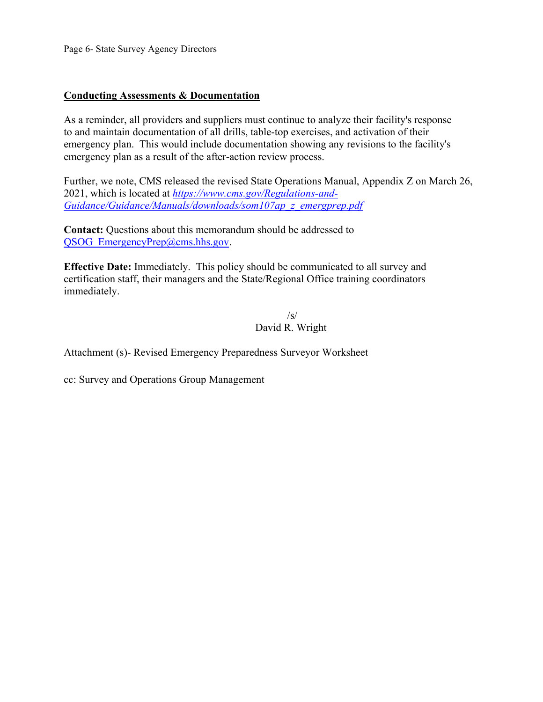Page 6- State Survey Agency Directors

### **Conducting Assessments & Documentation**

As a reminder, all providers and suppliers must continue to analyze their facility's response to and maintain documentation of all drills, table-top exercises, and activation of their emergency plan. This would include documentation showing any revisions to the facility's emergency plan as a result of the after-action review process.

 Further, we note, CMS released the revised State Operations Manual, Appendix Z on March 26, 2021, which is located at *[https://www.cms.gov/Regulations-and-](https://www.cms.gov/Regulations-and-Guidance/Guidance/Manuals/downloads/som107ap_z_emergprep.pdf)[Guidance/Guidance/Manuals/downloads/som107ap\\_z\\_emergprep.pdf](https://www.cms.gov/Regulations-and-Guidance/Guidance/Manuals/downloads/som107ap_z_emergprep.pdf)* 

QSOG\_EmergencyPrep@cms.hhs.gov. **Contact:** Questions about this memorandum should be addressed to

**Effective Date:** Immediately. This policy should be communicated to all survey and certification staff, their managers and the State/Regional Office training coordinators immediately.

> $\sqrt{s}$ David R. Wright

Attachment (s)- Revised Emergency Preparedness Surveyor Worksheet

cc: Survey and Operations Group Management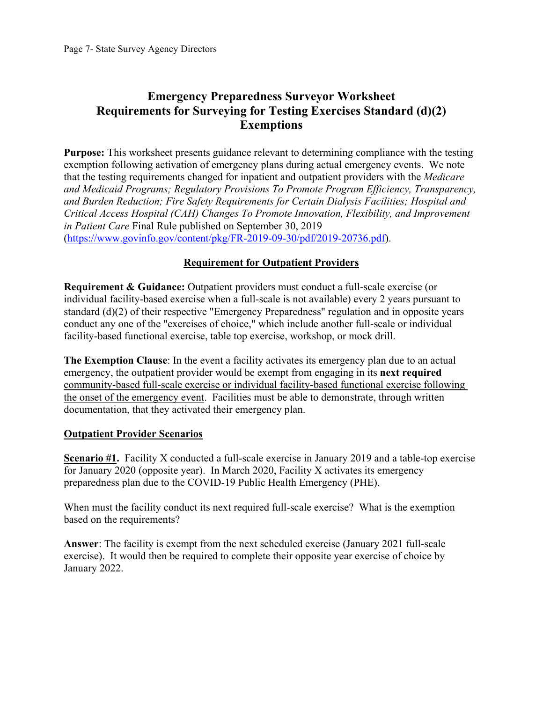# **Emergency Preparedness Surveyor Worksheet Requirements for Surveying for Testing Exercises Standard (d)(2) Exemptions**

 **Purpose:** This worksheet presents guidance relevant to determining compliance with the testing exemption following activation of emergency plans during actual emergency events. We note that the testing requirements changed for inpatient and outpatient providers with the *Medicare and Medicaid Programs; Regulatory Provisions To Promote Program Efficiency, Transparency, and Burden Reduction; Fire Safety Requirements for Certain Dialysis Facilities; Hospital and Critical Access Hospital (CAH) Changes To Promote Innovation, Flexibility, and Improvement in Patient Care* Final Rule published on September 30, 2019 [\(https://www.govinfo.gov/content/pkg/FR-2019-09-30/pdf/2019-20736.pdf\)](https://www.govinfo.gov/content/pkg/FR-2019-09-30/pdf/2019-20736.pdf).

# **Requirement for Outpatient Providers**

**Requirement & Guidance:** Outpatient providers must conduct a full-scale exercise (or individual facility-based exercise when a full-scale is not available) every 2 years pursuant to standard (d)(2) of their respective "Emergency Preparedness" regulation and in opposite years conduct any one of the "exercises of choice," which include another full-scale or individual facility-based functional exercise, table top exercise, workshop, or mock drill.

 documentation, that they activated their emergency plan. **The Exemption Clause**: In the event a facility activates its emergency plan due to an actual emergency, the outpatient provider would be exempt from engaging in its **next required**  community-based full-scale exercise or individual facility-based functional exercise following the onset of the emergency event. Facilities must be able to demonstrate, through written

### **Outpatient Provider Scenarios**

**Scenario #1.** Facility X conducted a full-scale exercise in January 2019 and a table-top exercise for January 2020 (opposite year). In March 2020, Facility X activates its emergency preparedness plan due to the COVID-19 Public Health Emergency (PHE).

When must the facility conduct its next required full-scale exercise? What is the exemption based on the requirements?

**Answer**: The facility is exempt from the next scheduled exercise (January 2021 full-scale exercise). It would then be required to complete their opposite year exercise of choice by January 2022.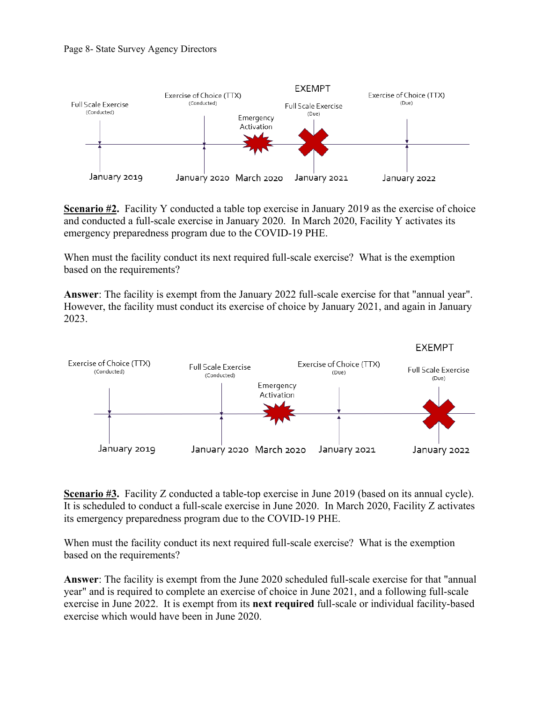

**Scenario #2.** Facility Y conducted a table top exercise in January 2019 as the exercise of choice and conducted a full-scale exercise in January 2020. In March 2020, Facility Y activates its emergency preparedness program due to the COVID-19 PHE.

 based on the requirements? When must the facility conduct its next required full-scale exercise? What is the exemption

**Answer**: The facility is exempt from the January 2022 full-scale exercise for that "annual year". However, the facility must conduct its exercise of choice by January 2021, and again in January 2023.



 It is scheduled to conduct a full-scale exercise in June 2020. In March 2020, Facility Z activates **Scenario #3.** Facility Z conducted a table-top exercise in June 2019 (based on its annual cycle). its emergency preparedness program due to the COVID-19 PHE.

When must the facility conduct its next required full-scale exercise? What is the exemption based on the requirements?

**Answer**: The facility is exempt from the June 2020 scheduled full-scale exercise for that "annual year" and is required to complete an exercise of choice in June 2021, and a following full-scale exercise in June 2022. It is exempt from its **next required** full-scale or individual facility-based exercise which would have been in June 2020.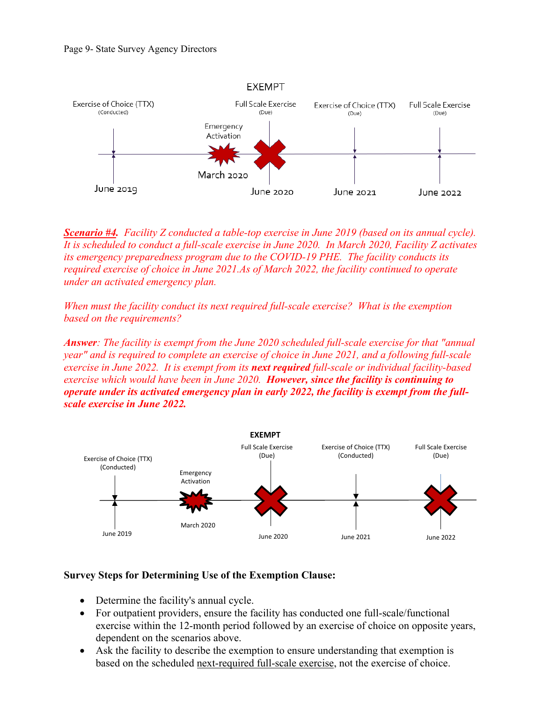

 *It is scheduled to conduct a full-scale exercise in June 2020. In March 2020, Facility Z activates Scenario #4. Facility Z conducted a table-top exercise in June 2019 (based on its annual cycle). its emergency preparedness program due to the COVID-19 PHE. The facility conducts its required exercise of choice in June 2021.As of March 2022, the facility continued to operate under an activated emergency plan.* 

When must the facility conduct its next required full-scale exercise? What is the exemption *based on the requirements?* 

*Answer: The facility is exempt from the June 2020 scheduled full-scale exercise for that "annual year" and is required to complete an exercise of choice in June 2021, and a following full-scale exercise in June 2022. It is exempt from its next required full-scale or individual facility-based exercise which would have been in June 2020. However, since the facility is continuing to operate under its activated emergency plan in early 2022, the facility is exempt from the fullscale exercise in June 2022.* 



#### **Survey Steps for Determining Use of the Exemption Clause:**

- Determine the facility's annual cycle.
- For outpatient providers, ensure the facility has conducted one full-scale/functional exercise within the 12-month period followed by an exercise of choice on opposite years, dependent on the scenarios above.
- based on the scheduled next-required full-scale exercise, not the exercise of choice. • Ask the facility to describe the exemption to ensure understanding that exemption is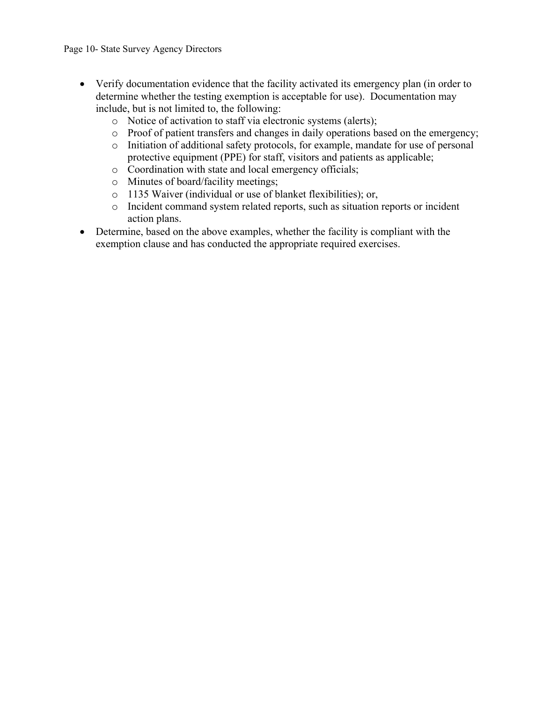- • Verify documentation evidence that the facility activated its emergency plan (in order to determine whether the testing exemption is acceptable for use). Documentation may include, but is not limited to, the following:
	- o Notice of activation to staff via electronic systems (alerts);
	- o Proof of patient transfers and changes in daily operations based on the emergency;
	- o Initiation of additional safety protocols, for example, mandate for use of personal protective equipment (PPE) for staff, visitors and patients as applicable;
	- o Coordination with state and local emergency officials;
	- o Minutes of board/facility meetings;
	- o 1135 Waiver (individual or use of blanket flexibilities); or,
	- o Incident command system related reports, such as situation reports or incident action plans.
- Determine, based on the above examples, whether the facility is compliant with the exemption clause and has conducted the appropriate required exercises.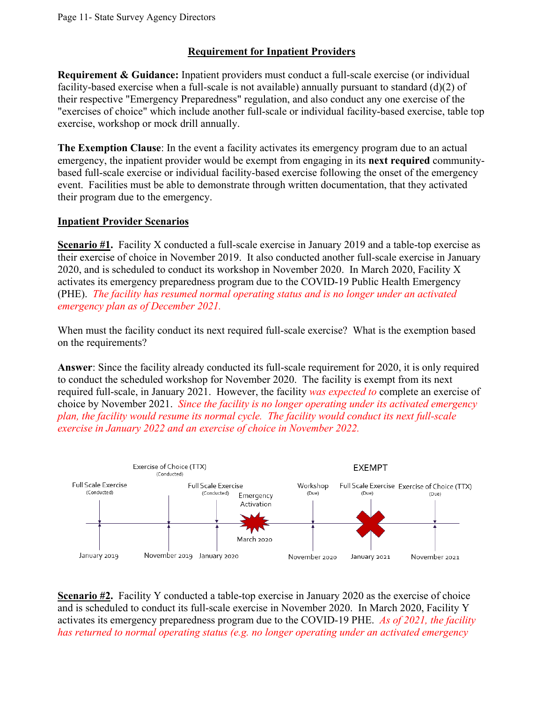# **Requirement for Inpatient Providers**

**Requirement & Guidance:** Inpatient providers must conduct a full-scale exercise (or individual facility-based exercise when a full-scale is not available) annually pursuant to standard (d)(2) of their respective "Emergency Preparedness" regulation, and also conduct any one exercise of the "exercises of choice" which include another full-scale or individual facility-based exercise, table top exercise, workshop or mock drill annually.

**The Exemption Clause**: In the event a facility activates its emergency program due to an actual emergency, the inpatient provider would be exempt from engaging in its **next required** communitybased full-scale exercise or individual facility-based exercise following the onset of the emergency event. Facilities must be able to demonstrate through written documentation, that they activated their program due to the emergency.

# **Inpatient Provider Scenarios**

 (PHE). *The facility has resumed normal operating status and is no longer under an activated*  **Scenario #1.** Facility X conducted a full-scale exercise in January 2019 and a table-top exercise as their exercise of choice in November 2019. It also conducted another full-scale exercise in January 2020, and is scheduled to conduct its workshop in November 2020. In March 2020, Facility X activates its emergency preparedness program due to the COVID-19 Public Health Emergency *emergency plan as of December 2021.* 

When must the facility conduct its next required full-scale exercise? What is the exemption based on the requirements?

**Answer**: Since the facility already conducted its full-scale requirement for 2020, it is only required to conduct the scheduled workshop for November 2020. The facility is exempt from its next required full-scale, in January 2021. However, the facility *was expected to* complete an exercise of choice by November 2021. *Since the facility is no longer operating under its activated emergency plan, the facility would resume its normal cycle. The facility would conduct its next full-scale exercise in January 2022 and an exercise of choice in November 2022.* 



 activates its emergency preparedness program due to the COVID-19 PHE. *As of 2021, the facility*  **Scenario #2.** Facility Y conducted a table-top exercise in January 2020 as the exercise of choice and is scheduled to conduct its full-scale exercise in November 2020. In March 2020, Facility Y *has returned to normal operating status (e.g. no longer operating under an activated emergency*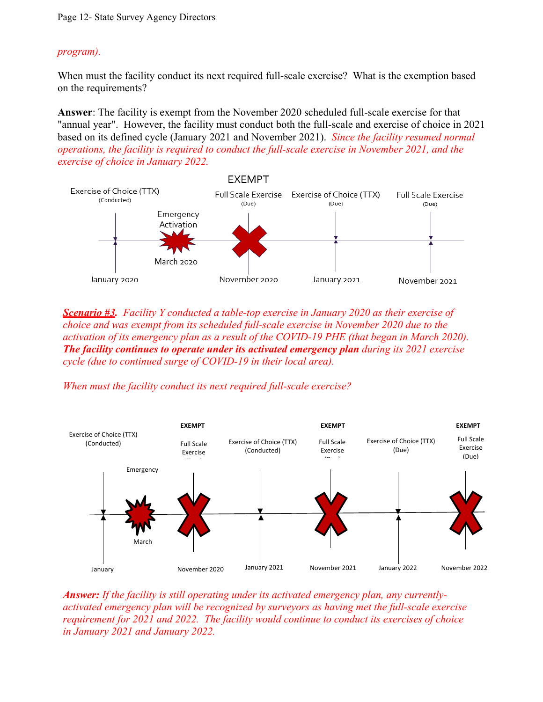## *program).*

When must the facility conduct its next required full-scale exercise? What is the exemption based on the requirements?

 *operations, the facility is required to conduct the full-scale exercise in November 2021, and the*  **Answer**: The facility is exempt from the November 2020 scheduled full-scale exercise for that "annual year". However, the facility must conduct both the full-scale and exercise of choice in 2021 based on its defined cycle (January 2021 and November 2021). *Since the facility resumed normal exercise of choice in January 2022.* 



 *The facility continues to operate under its activated emergency plan during its 2021 exercise Scenario #3. Facility Y conducted a table-top exercise in January 2020 as their exercise of choice and was exempt from its scheduled full-scale exercise in November 2020 due to the activation of its emergency plan as a result of the COVID-19 PHE (that began in March 2020). cycle (due to continued surge of COVID-19 in their local area).* 

*When must the facility conduct its next required full-scale exercise?* 



 *Answer: If the facility is still operating under its activated emergency plan, any currentlyactivated emergency plan will be recognized by surveyors as having met the full-scale exercise requirement for 2021 and 2022. The facility would continue to conduct its exercises of choice in January 2021 and January 2022.*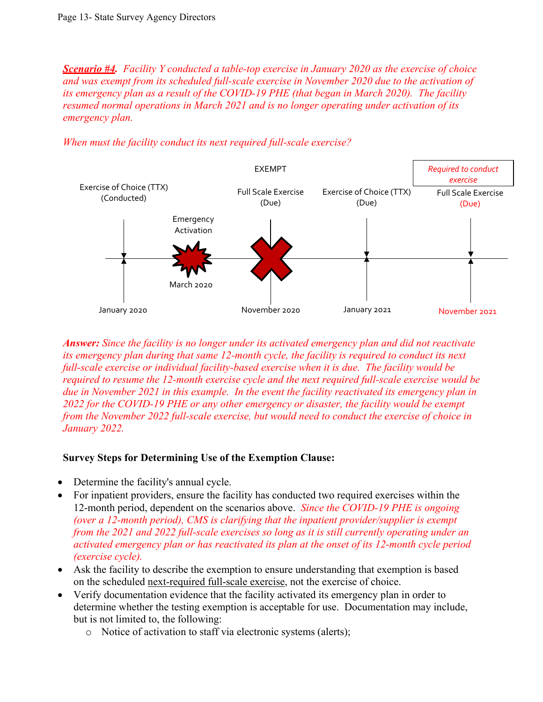*Scenario #4. Facility Y conducted a table-top exercise in January 2020 as the exercise of choice and was exempt from its scheduled full-scale exercise in November 2020 due to the activation of its emergency plan as a result of the COVID-19 PHE (that began in March 2020). The facility resumed normal operations in March 2021 and is no longer operating under activation of its emergency plan.* 

*When must the facility conduct its next required full-scale exercise?* 



 *Answer: Since the facility is no longer under its activated emergency plan and did not reactivate from the November 2022 full-scale exercise, but would need to conduct the exercise of choice in its emergency plan during that same 12-month cycle, the facility is required to conduct its next full-scale exercise or individual facility-based exercise when it is due. The facility would be required to resume the 12-month exercise cycle and the next required full-scale exercise would be due in November 2021 in this example. In the event the facility reactivated its emergency plan in 2022 for the COVID-19 PHE or any other emergency or disaster, the facility would be exempt January 2022.* 

### **Survey Steps for Determining Use of the Exemption Clause:**

- Determine the facility's annual cycle.
- 12-month period, dependent on the scenarios above. *Since the COVID-19 PHE is ongoing (over a 12-month period), CMS is clarifying that the inpatient provider/supplier is exempt*  • For inpatient providers, ensure the facility has conducted two required exercises within the *from the 2021 and 2022 full-scale exercises so long as it is still currently operating under an activated emergency plan or has reactivated its plan at the onset of its 12-month cycle period (exercise cycle).*
- on the scheduled next-required full-scale exercise, not the exercise of choice. • Ask the facility to describe the exemption to ensure understanding that exemption is based
- • Verify documentation evidence that the facility activated its emergency plan in order to but is not limited to, the following: determine whether the testing exemption is acceptable for use. Documentation may include,
	- o Notice of activation to staff via electronic systems (alerts);